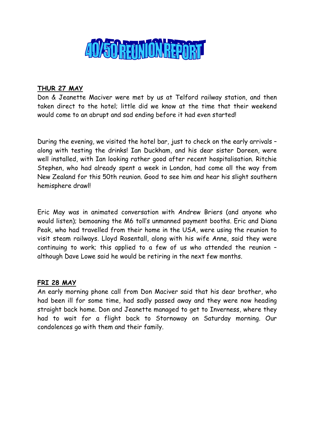

# THUR 27 MAY

Don & Jeanette Maciver were met by us at Telford railway station, and then taken direct to the hotel; little did we know at the time that their weekend would come to an abrupt and sad ending before it had even started!

During the evening, we visited the hotel bar, just to check on the early arrivals – along with testing the drinks! Ian Duckham, and his dear sister Doreen, were well installed, with Ian looking rather good after recent hospitalisation. Ritchie Stephen, who had already spent a week in London, had come all the way from New Zealand for this 50th reunion. Good to see him and hear his slight southern hemisphere drawl!

Eric May was in animated conversation with Andrew Briers (and anyone who would listen); bemoaning the M6 toll's unmanned payment booths. Eric and Diana Peak, who had travelled from their home in the USA, were using the reunion to visit steam railways. Lloyd Rosentall, along with his wife Anne, said they were continuing to work; this applied to a few of us who attended the reunion – although Dave Lowe said he would be retiring in the next few months.

# FRI 28 MAY

An early morning phone call from Don Maciver said that his dear brother, who had been ill for some time, had sadly passed away and they were now heading straight back home. Don and Jeanette managed to get to Inverness, where they had to wait for a flight back to Stornoway on Saturday morning. Our condolences go with them and their family.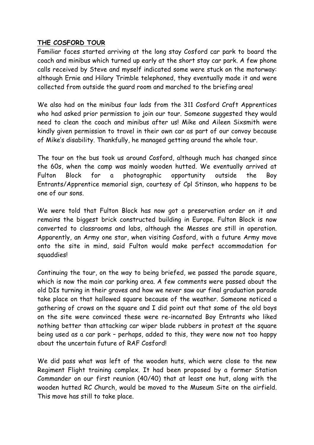### THE COSFORD TOUR

Familiar faces started arriving at the long stay Cosford car park to board the coach and minibus which turned up early at the short stay car park. A few phone calls received by Steve and myself indicated some were stuck on the motorway: although Ernie and Hilary Trimble telephoned, they eventually made it and were collected from outside the guard room and marched to the briefing area!

We also had on the minibus four lads from the 311 Cosford Craft Apprentices who had asked prior permission to join our tour. Someone suggested they would need to clean the coach and minibus after us! Mike and Aileen Sixsmith were kindly given permission to travel in their own car as part of our convoy because of Mike's disability. Thankfully, he managed getting around the whole tour.

The tour on the bus took us around Cosford, although much has changed since the 60s, when the camp was mainly wooden hutted. We eventually arrived at Fulton Block for a photographic opportunity outside the Boy Entrants/Apprentice memorial sign, courtesy of Cpl Stinson, who happens to be one of our sons.

We were told that Fulton Block has now got a preservation order on it and remains the biggest brick constructed building in Europe. Fulton Block is now converted to classrooms and labs, although the Messes are still in operation. Apparently, an Army one star, when visiting Cosford, with a future Army move onto the site in mind, said Fulton would make perfect accommodation for squaddies!

Continuing the tour, on the way to being briefed, we passed the parade square, which is now the main car parking area. A few comments were passed about the old DIs turning in their graves and how we never saw our final graduation parade take place on that hallowed square because of the weather. Someone noticed a gathering of crows on the square and I did point out that some of the old boys on the site were convinced these were re-incarnated Boy Entrants who liked nothing better than attacking car wiper blade rubbers in protest at the square being used as a car park – perhaps, added to this, they were now not too happy about the uncertain future of RAF Cosford!

We did pass what was left of the wooden huts, which were close to the new Regiment Flight training complex. It had been proposed by a former Station Commander on our first reunion (40/40) that at least one hut, along with the wooden hutted RC Church, would be moved to the Museum Site on the airfield. This move has still to take place.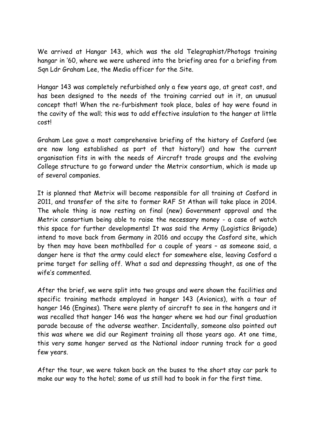We arrived at Hangar 143, which was the old Telegraphist/Photogs training hangar in '60, where we were ushered into the briefing area for a briefing from Sqn Ldr Graham Lee, the Media officer for the Site.

Hangar 143 was completely refurbished only a few years ago, at great cost, and has been designed to the needs of the training carried out in it, an unusual concept that! When the re-furbishment took place, bales of hay were found in the cavity of the wall; this was to add effective insulation to the hanger at little cost!

Graham Lee gave a most comprehensive briefing of the history of Cosford (we are now long established as part of that history!) and how the current organisation fits in with the needs of Aircraft trade groups and the evolving College structure to go forward under the Metrix consortium, which is made up of several companies.

It is planned that Metrix will become responsible for all training at Cosford in 2011, and transfer of the site to former RAF St Athan will take place in 2014. The whole thing is now resting on final (new) Government approval and the Metrix consortium being able to raise the necessary money - a case of watch this space for further developments! It was said the Army (Logistics Brigade) intend to move back from Germany in 2016 and occupy the Cosford site, which by then may have been mothballed for a couple of years – as someone said, a danger here is that the army could elect for somewhere else, leaving Cosford a prime target for selling off. What a sad and depressing thought, as one of the wife's commented.

After the brief, we were split into two groups and were shown the facilities and specific training methods employed in hanger 143 (Avionics), with a tour of hanger 146 (Engines). There were plenty of aircraft to see in the hangers and it was recalled that hanger 146 was the hanger where we had our final graduation parade because of the adverse weather. Incidentally, someone also pointed out this was where we did our Regiment training all those years ago. At one time, this very same hanger served as the National indoor running track for a good few years.

After the tour, we were taken back on the buses to the short stay car park to make our way to the hotel; some of us still had to book in for the first time.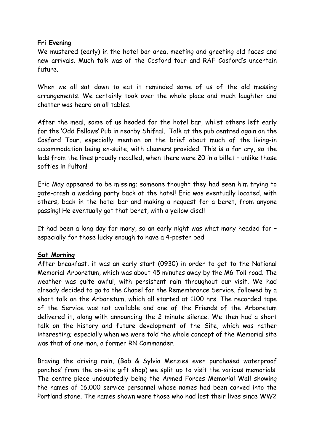### Fri Evening

We mustered (early) in the hotel bar area, meeting and greeting old faces and new arrivals. Much talk was of the Cosford tour and RAF Cosford's uncertain future.

When we all sat down to eat it reminded some of us of the old messing arrangements. We certainly took over the whole place and much laughter and chatter was heard on all tables.

After the meal, some of us headed for the hotel bar, whilst others left early for the 'Odd Fellows' Pub in nearby Shifnal. Talk at the pub centred again on the Cosford Tour, especially mention on the brief about much of the living-in accommodation being en-suite, with cleaners provided. This is a far cry, so the lads from the lines proudly recalled, when there were 20 in a billet – unlike those softies in Fulton!

Eric May appeared to be missing; someone thought they had seen him trying to gate-crash a wedding party back at the hotel! Eric was eventually located, with others, back in the hotel bar and making a request for a beret, from anyone passing! He eventually got that beret, with a yellow disc!!

It had been a long day for many, so an early night was what many headed for – especially for those lucky enough to have a 4-poster bed!

### Sat Morning

After breakfast, it was an early start (0930) in order to get to the National Memorial Arboretum, which was about 45 minutes away by the M6 Toll road. The weather was quite awful, with persistent rain throughout our visit. We had already decided to go to the Chapel for the Remembrance Service, followed by a short talk on the Arboretum, which all started at 1100 hrs. The recorded tape of the Service was not available and one of the Friends of the Arboretum delivered it, along with announcing the 2 minute silence. We then had a short talk on the history and future development of the Site, which was rather interesting; especially when we were told the whole concept of the Memorial site was that of one man, a former RN Commander.

Braving the driving rain, (Bob & Sylvia Menzies even purchased waterproof ponchos' from the on-site gift shop) we split up to visit the various memorials. The centre piece undoubtedly being the Armed Forces Memorial Wall showing the names of 16,000 service personnel whose names had been carved into the Portland stone. The names shown were those who had lost their lives since WW2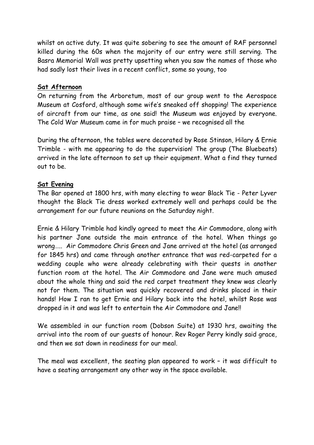whilst on active duty. It was quite sobering to see the amount of RAF personnel killed during the 60s when the majority of our entry were still serving. The Basra Memorial Wall was pretty upsetting when you saw the names of those who had sadly lost their lives in a recent conflict, some so young, too

### Sat Afternoon

On returning from the Arboretum, most of our group went to the Aerospace Museum at Cosford, although some wife's sneaked off shopping! The experience of aircraft from our time, as one said! the Museum was enjoyed by everyone. The Cold War Museum came in for much praise – we recognised all the

During the afternoon, the tables were decorated by Rose Stinson, Hilary & Ernie Trimble - with me appearing to do the supervision! The group (The Bluebeats) arrived in the late afternoon to set up their equipment. What a find they turned out to be.

# Sat Evening

The Bar opened at 1800 hrs, with many electing to wear Black Tie - Peter Lyver thought the Black Tie dress worked extremely well and perhaps could be the arrangement for our future reunions on the Saturday night.

Ernie & Hilary Trimble had kindly agreed to meet the Air Commodore, along with his partner Jane outside the main entrance of the hotel. When things go wrong….. Air Commodore Chris Green and Jane arrived at the hotel (as arranged for 1845 hrs) and came through another entrance that was red-carpeted for a wedding couple who were already celebrating with their quests in another function room at the hotel. The Air Commodore and Jane were much amused about the whole thing and said the red carpet treatment they knew was clearly not for them. The situation was quickly recovered and drinks placed in their hands! How I ran to get Ernie and Hilary back into the hotel, whilst Rose was dropped in it and was left to entertain the Air Commodore and Jane!!

We assembled in our function room (Dobson Suite) at 1930 hrs, awaiting the arrival into the room of our guests of honour. Rev Roger Perry kindly said grace, and then we sat down in readiness for our meal.

The meal was excellent, the seating plan appeared to work – it was difficult to have a seating arrangement any other way in the space available.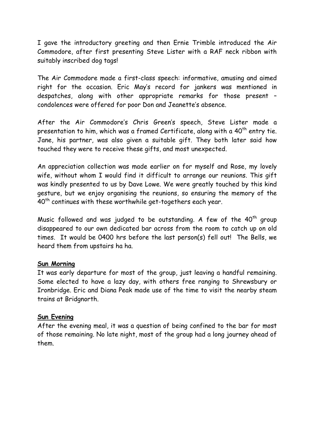I gave the introductory greeting and then Ernie Trimble introduced the Air Commodore, after first presenting Steve Lister with a RAF neck ribbon with suitably inscribed dog tags!

The Air Commodore made a first-class speech: informative, amusing and aimed right for the occasion. Eric May's record for jankers was mentioned in despatches, along with other appropriate remarks for those present – condolences were offered for poor Don and Jeanette's absence.

After the Air Commodore's Chris Green's speech, Steve Lister made a presentation to him, which was a framed Certificate, along with a  $40<sup>th</sup>$  entry tie. Jane, his partner, was also given a suitable gift. They both later said how touched they were to receive these gifts, and most unexpected.

An appreciation collection was made earlier on for myself and Rose, my lovely wife, without whom I would find it difficult to arrange our reunions. This gift was kindly presented to us by Dave Lowe. We were greatly touched by this kind gesture, but we enjoy organising the reunions, so ensuring the memory of the 40<sup>th</sup> continues with these worthwhile get-togethers each year.

Music followed and was judged to be outstanding. A few of the  $40<sup>th</sup>$  group disappeared to our own dedicated bar across from the room to catch up on old times. It would be 0400 hrs before the last person(s) fell out! The Bells, we heard them from upstairs ha ha.

### Sun Morning

It was early departure for most of the group, just leaving a handful remaining. Some elected to have a lazy day, with others free ranging to Shrewsbury or Ironbridge. Eric and Diana Peak made use of the time to visit the nearby steam trains at Bridgnorth.

### Sun Evening

After the evening meal, it was a question of being confined to the bar for most of those remaining. No late night, most of the group had a long journey ahead of them.